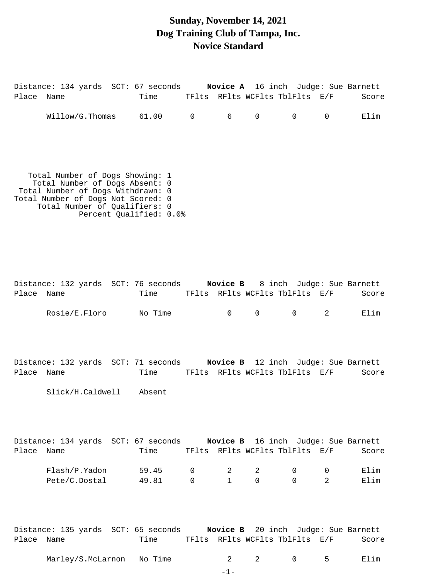## **Sunday, November 14, 2021 Dog Training Club of Tampa, Inc. Novice Standard**

| Place Name | Distance: 134 yards SCT: 67 seconds Novice A 16 inch Judge: Sue Barnett                                                                                                       | Time TFlts RFlts WCFlts TblFlts E/F |                               |                   |               |                                                       |                   | Score                 |
|------------|-------------------------------------------------------------------------------------------------------------------------------------------------------------------------------|-------------------------------------|-------------------------------|-------------------|---------------|-------------------------------------------------------|-------------------|-----------------------|
|            | Willow/G.Thomas 61.00                                                                                                                                                         | $\overline{0}$                      |                               | 6                 | $\mathsf{O}$  | $\overline{0}$                                        | $\mathsf{O}$      | Elim                  |
|            | Total Number of Dogs Showing: 1<br>Total Number of Dogs Absent: 0<br>Total Number of Dogs Withdrawn: 0<br>Total Number of Dogs Not Scored: 0<br>Total Number of Qualifiers: 0 | Percent Qualified: 0.0%             |                               |                   |               |                                                       |                   |                       |
| Place Name | Distance: 132 yards SCT: 76 seconds Novice B 8 inch Judge: Sue Barnett<br>Rosie/E.Floro No Time                                                                               | Time TFlts RFlts WCFlts TblFlts E/F |                               | $\overline{0}$    | $\mathsf{O}$  | 0                                                     | 2                 | Score<br>Elim         |
| Place      | Distance: 132 yards SCT: 71 seconds Novice B 12 inch Judge: Sue Barnett<br>Name<br>Slick/H.Caldwell Absent                                                                    | Time                                |                               |                   |               | TFlts RFlts WCFlts TblFlts E/F                        |                   | Score                 |
| Place      | Distance: 134 yards SCT: 67 seconds Novice B 16 inch Judge: Sue Barnett<br>Name<br>Flash/P.Yadon<br>Pete/C.Dostal                                                             | Time<br>59.45<br>49.81              | $\overline{0}$<br>$\mathbf 0$ | 2<br>$\mathbf{1}$ | 2<br>$\Omega$ | TFlts RFlts WCFlts TblFlts E/F<br>0<br>$\overline{0}$ | $\mathsf{O}$<br>2 | Score<br>Elim<br>Elim |
|            |                                                                                                                                                                               |                                     |                               |                   |               |                                                       |                   |                       |

| Distance: 135 yards SCT: 65 seconds |      |                                | Novice B 20 inch Judge: Sue Barnett |       |
|-------------------------------------|------|--------------------------------|-------------------------------------|-------|
| Place Name                          | Time | TFlts RFlts WCFlts TblFlts E/F |                                     | Score |

|  |  | Marley/S.McLarnon | No | Time |  |  |  |  |  | ⊥ım |  |
|--|--|-------------------|----|------|--|--|--|--|--|-----|--|
|--|--|-------------------|----|------|--|--|--|--|--|-----|--|

-1-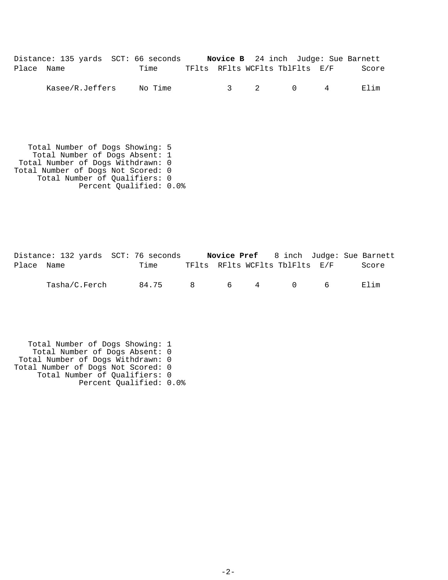|            | Distance: 135 yards SCT: 66 seconds |         |  |         |                                | <b>Novice B</b> 24 inch Judge: Sue Barnett |
|------------|-------------------------------------|---------|--|---------|--------------------------------|--------------------------------------------|
| Place Name |                                     | Time    |  |         | TFlts RFlts WCFlts TblFlts E/F | Score                                      |
|            | Kasee/R.Jeffers                     | No Time |  | 3 2 0 4 |                                | Flim                                       |

 Total Number of Dogs Showing: 5 Total Number of Dogs Absent: 1 Total Number of Dogs Withdrawn: 0 Total Number of Dogs Not Scored: 0 Total Number of Qualifiers: 0 Percent Qualified: 0.0%

|            |               | Distance: 132 yards SCT: 76 seconds |              |                                | <b>Novice Pref</b> 8 inch Judge: Sue Barnett |
|------------|---------------|-------------------------------------|--------------|--------------------------------|----------------------------------------------|
| Place Name |               | Time                                |              | TFlts RFlts WCFlts TblFlts E/F | Score                                        |
|            | Tasha/C.Ferch | 84.75                               | $\mathsf{R}$ | 6 4 0 6                        | Elim                                         |

 Total Number of Dogs Showing: 1 Total Number of Dogs Absent: 0 Total Number of Dogs Withdrawn: 0 Total Number of Dogs Not Scored: 0 Total Number of Qualifiers: 0 Percent Qualified: 0.0%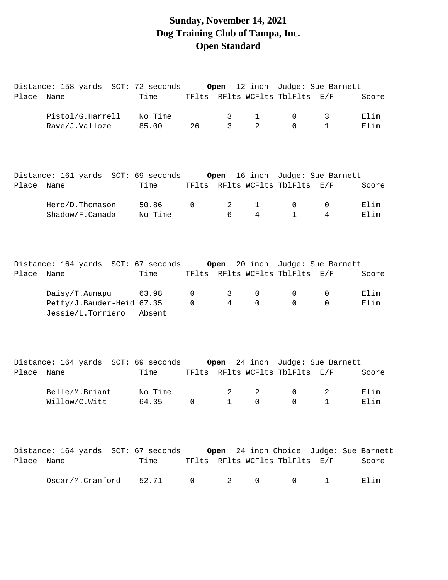# **Sunday, November 14, 2021 Dog Training Club of Tampa, Inc. Open Standard**

|            | Distance: 158 yards SCT: 72 seconds              |                  |    | Open             |                               |                                | 12 inch Judge: Sue Barnett        |              |
|------------|--------------------------------------------------|------------------|----|------------------|-------------------------------|--------------------------------|-----------------------------------|--------------|
| Place      | Name                                             | Time             |    |                  |                               | TFlts RFlts WCFlts TblFlts     | E/F                               | Score        |
|            | Pistol/G.Harrell                                 | No Time          |    | 3                | 1                             | 0                              | 3                                 | Elim         |
|            | Rave/J.Valloze                                   | 85.00            | 26 | 3                | 2                             | $\Omega$                       | $\mathbf{1}$                      | Elim         |
|            | Distance: 161 yards SCT: 69 seconds Open         |                  |    |                  |                               |                                | 16 inch Judge: Sue Barnett        |              |
| Place      | Name                                             | Time             |    |                  |                               | TFlts RFlts WCFlts TblFlts E/F |                                   | Score        |
|            | Hero/D.Thomason<br>Shadow/F.Canada               | 50.86<br>No Time | 0  | 2<br>6           | $\mathbf 1$<br>$\overline{4}$ | 0<br>$\mathbf{1}$              | 0<br>4                            | Elim<br>Elim |
| Place      | Distance: 164 yards SCT: 67 seconds<br>Name      | Time             |    | Open             |                               | TFlts RFlts WCFlts TblFlts     | 20 inch Judge: Sue Barnett<br>E/F | Score        |
|            | Daisy/T.Aunapu                                   | 63.98            | 0  | 3                | 0                             | 0                              | 0                                 | Elim         |
|            | Petty/J.Bauder-Heid 67.35<br>Jessie/L.Torriero   | Absent           | 0  | 4                | $\mathbf 0$                   | $\mathbf 0$                    | $\Omega$                          | Elim         |
| Place      | Distance: 164 yards SCT: 69 seconds Open<br>Name | Time             |    |                  |                               | TFlts RFlts WCFlts TblFlts     | 24 inch Judge: Sue Barnett<br>E/F | Score        |
|            | Belle/M.Briant<br>Willow/C.Witt                  | No Time<br>64.35 | 0  | 2<br>$\mathbf 1$ | $\overline{2}$<br>$\mathbf 0$ | 0<br>$\mathbf 0$               | 2<br>$\mathbf 1$                  | Elim<br>Elim |
| Place Name | Distance: 164 yards SCT: 67 seconds Open         | Time             |    |                  |                               | TFlts RFlts WCFlts TblFlts E/F | 24 inch Choice Judge: Sue Barnett | Score        |
|            | Oscar/M.Cranford                                 | 52.71            | 0  | 2                | 0                             | 0                              | 1                                 | Elim         |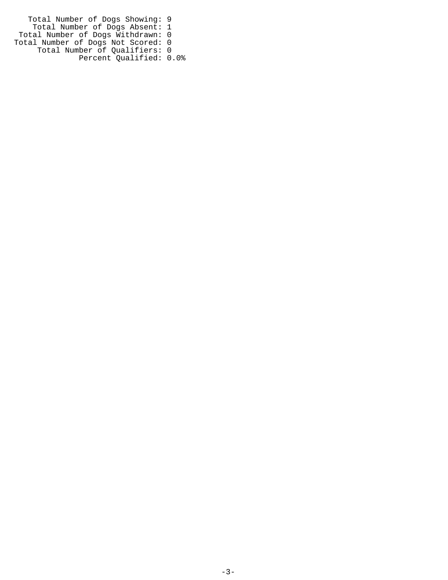Total Number of Dogs Showing: 9 Total Number of Dogs Absent: 1 Total Number of Dogs Withdrawn: 0 Total Number of Dogs Not Scored: 0 Total Number of Qualifiers: 0 Percent Qualified: 0.0%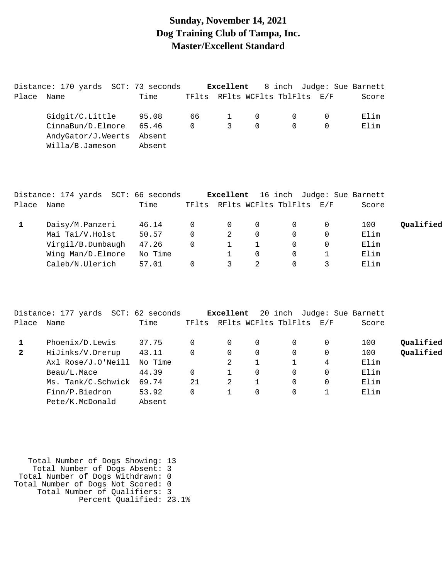## **Sunday, November 14, 2021 Dog Training Club of Tampa, Inc. Master/Excellent Standard**

|            | Distance: 170 yards SCT: 73 seconds |        |        |              |     |                                | <b>Excellent</b> 8 inch Judge: Sue Barnett |       |
|------------|-------------------------------------|--------|--------|--------------|-----|--------------------------------|--------------------------------------------|-------|
| Place Name |                                     | Time   |        |              |     | TFlts RFlts WCFlts TblFlts E/F |                                            | Score |
|            |                                     | 95.08  |        |              |     |                                |                                            | Elim  |
|            | Gidgit/C.Little                     |        | 66 —   |              | 1 0 | $\Omega$                       |                                            |       |
|            | CinnaBun/D.Elmore 65.46             |        | $\cap$ | $\mathbf{3}$ | റ - | $\Omega$                       |                                            | Elim  |
|            | AndyGator/J.Weerts                  | Absent |        |              |     |                                |                                            |       |
|            | Willa/B.Jameson                     | Absent |        |              |     |                                |                                            |       |

|            | Distance: 174 yards SCT: 66 seconds |         |          | Excellent     |          |                          | 16 inch Judge: Sue Barnett |           |
|------------|-------------------------------------|---------|----------|---------------|----------|--------------------------|----------------------------|-----------|
| Place Name |                                     | Time    | TFlts    |               |          | RFlts WCFlts TblFlts E/F | Score                      |           |
|            | Daisy/M.Panzeri                     | 46.14   | $\Omega$ | $\Omega$      | $\Omega$ |                          | 100                        | Qualified |
|            | Mai Tai/V.Holst                     | 50.57   | 0        | $\mathcal{L}$ | $\Omega$ |                          | Elim                       |           |
|            | Virgil/B.Dumbaugh                   | 47.26   | 0        |               |          |                          | Elim                       |           |
|            | Wing Man/D.Elmore                   | No Time |          |               | 0        |                          | Elim                       |           |
|            | Caleb/N.Ulerich                     | 57.01   |          |               |          |                          | Elim                       |           |

|              | Distance: 177 yards SCT: 62 seconds |         |       | Excellent |             | 20 inch                  |          | Judge: Sue Barnett |           |
|--------------|-------------------------------------|---------|-------|-----------|-------------|--------------------------|----------|--------------------|-----------|
| Place        | Name                                | Time    | TFlts |           |             | RFlts WCFlts TblFlts E/F |          | Score              |           |
|              | Phoenix/D. Lewis                    | 37.75   | 0     | 0         | 0           |                          | 0        | 100                | Qualified |
| $\mathbf{2}$ | HiJinks/V.Drerup                    | 43.11   | 0     | 0         | $\mathbf 0$ | $\Omega$                 | 0        | 100                | Qualified |
|              | Axl Rose/J.O'Neill                  | No Time |       | 2         |             |                          | 4        | Elim               |           |
|              | Beau/L.Mace                         | 44.39   | 0     |           | $\Omega$    | 0                        | $\Omega$ | Elim               |           |
|              | Ms. Tank/C.Schwick                  | 69.74   | 21    | 2         |             | 0                        | $\Omega$ | Elim               |           |
|              | Finn/P.Biedron                      | 53.92   | 0     |           | $\mathbf 0$ | 0                        |          | Elim               |           |
|              | Pete/K.McDonald                     | Absent  |       |           |             |                          |          |                    |           |

| Total Number of Dogs Showing: 13   |  |
|------------------------------------|--|
| Total Number of Dogs Absent: 3     |  |
| Total Number of Dogs Withdrawn: 0  |  |
| Total Number of Dogs Not Scored: 0 |  |
| Total Number of Qualifiers: 3      |  |
| Percent Qualified: 23.1%           |  |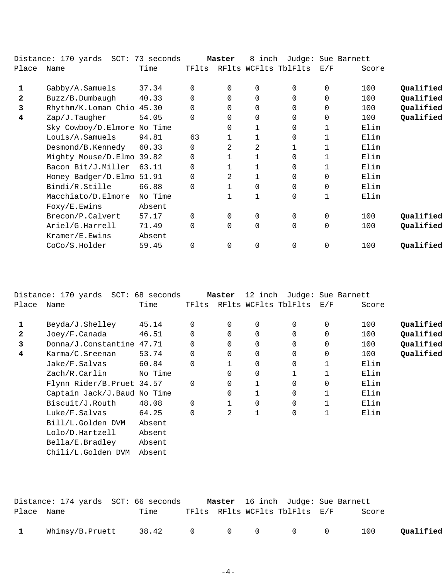|              | Distance: 170 yards SCT: 73 seconds |         |          | Master   | 8 inch         |                      |          | Judge: Sue Barnett |           |
|--------------|-------------------------------------|---------|----------|----------|----------------|----------------------|----------|--------------------|-----------|
| Place        | Name                                | Time    | TFlts    |          |                | RFlts WCFlts TblFlts | E/F      | Score              |           |
| 1            | Gabby/A.Samuels                     | 37.34   | 0        | $\Omega$ | $\Omega$       | $\Omega$             | $\Omega$ | 100                | Qualified |
| $\mathbf{2}$ | Buzz/B.Dumbaugh                     | 40.33   | 0        | 0        | 0              | $\mathbf 0$          | $\Omega$ | 100                | Qualified |
| 3            | Rhythm/K.Loman Chio                 | 45.30   | 0        | 0        | 0              | $\mathbf 0$          | $\Omega$ | 100                | Qualified |
| 4            | Zap/J.Taugher                       | 54.05   | $\Omega$ | $\Omega$ | $\mathbf 0$    | $\Omega$             | 0        | 100                | Qualified |
|              | Sky Cowboy/D.Elmore No Time         |         |          | 0        | 1              | $\Omega$             | 1        | Elim               |           |
|              | Louis/A.Samuels                     | 94.81   | 63       |          | 1              | $\Omega$             |          | Elim               |           |
|              | Desmond/B.Kennedy                   | 60.33   | 0        | 2        | $\overline{a}$ |                      |          | Elim               |           |
|              | Mighty Mouse/D.Elmo                 | 39.82   | $\Omega$ |          | $\mathbf{1}$   | $\Omega$             |          | Elim               |           |
|              | Bacon Bit/J.Miller                  | 63.11   | 0        |          | $\mathbf{1}$   | $\Omega$             |          | Elim               |           |
|              | Honey Badger/D.Elmo                 | 51.91   | 0        | 2        | 1              | $\Omega$             | $\Omega$ | Elim               |           |
|              | Bindi/R.Stille                      | 66.88   | $\Omega$ |          | $\Omega$       | $\Omega$             | $\Omega$ | Elim               |           |
|              | Macchiato/D.Elmore                  | No Time |          | 1        | 1              | $\mathbf 0$          | 1        | Elim               |           |
|              | Foxy/E.Ewins                        | Absent  |          |          |                |                      |          |                    |           |
|              | Brecon/P.Calvert                    | 57.17   | 0        | $\Omega$ | $\mathbf 0$    | $\Omega$             | $\Omega$ | 100                | Qualified |
|              | Ariel/G.Harrell                     | 71.49   | $\Omega$ | $\Omega$ | $\Omega$       | $\Omega$             | $\Omega$ | 100                | Qualified |
|              | Kramer/E.Ewins                      | Absent  |          |          |                |                      |          |                    |           |
|              | CoCo/S.Holder                       | 59.45   | $\Omega$ | $\Omega$ | $\Omega$       | $\Omega$             | $\Omega$ | 100                | Qualified |
|              |                                     |         |          |          |                |                      |          |                    |           |

|              | Distance: 170 yards SCT: 68 seconds |         |          | Master   | 12 inch |                      |             | Judge: Sue Barnett |           |
|--------------|-------------------------------------|---------|----------|----------|---------|----------------------|-------------|--------------------|-----------|
| Place        | Name                                | Time    | TFlts    |          |         | RFlts WCFlts TblFlts | E/F         | Score              |           |
| 1            | Beyda/J.Shelley                     | 45.14   | 0        | $\Omega$ | 0       | $\Omega$             | $\Omega$    | 100                | Qualified |
| $\mathbf{2}$ | Joey/F.Canada                       | 46.51   |          | 0        | 0       | 0                    | $\Omega$    | 100                | Qualified |
| 3            | Donna/J.Constantine 47.71           |         |          | 0        | 0       | 0                    | 0           | 100                | Qualified |
| 4            | Karma/C.Sreenan                     | 53.74   | $\Omega$ | $\Omega$ | 0       | $\Omega$             | $\mathbf 0$ | 100                | Qualified |
|              | Jake/F.Salvas                       | 60.84   | $\Omega$ |          | 0       | $\Omega$             |             | Elim               |           |
|              | Zach/R.Carlin                       | No Time |          | $\Omega$ | 0       |                      |             | Elim               |           |
|              | Flynn Rider/B.Pruet 34.57           |         | $\Omega$ | $\Omega$ |         | 0                    | 0           | Elim               |           |
|              | Captain Jack/J. Baud No Time        |         |          | 0        |         | 0                    |             | Elim               |           |
|              | Biscuit/J.Routh                     | 48.08   | $\Omega$ |          | 0       | 0                    |             | Elim               |           |
|              | Luke/F.Salvas                       | 64.25   | $\Omega$ | 2        |         | 0                    |             | Elim               |           |
|              | Bill/L.Golden DVM                   | Absent  |          |          |         |                      |             |                    |           |
|              | Lolo/D.Hartzell                     | Absent  |          |          |         |                      |             |                    |           |
|              | Bella/E.Bradley                     | Absent  |          |          |         |                      |             |                    |           |
|              | Chili/L.Golden DVM                  | Absent  |          |          |         |                      |             |                    |           |
|              |                                     |         |          |          |         |                      |             |                    |           |

|              |                 |                   |  | Master 16 inch Judge: Sue Barnett |       |           |
|--------------|-----------------|-------------------|--|-----------------------------------|-------|-----------|
| Place Name   |                 | Time              |  | TFlts RFlts WCFlts TblFlts E/F    | Score |           |
| $\mathbf{1}$ | Whimsy/B.Pruett | $38.42$ 0 0 0 0 0 |  |                                   | 100   | Qualified |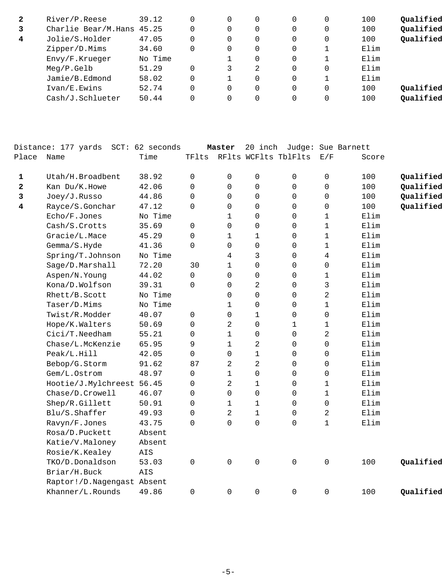|   | River/P.Reese             | 39.12   | 0 | 0        |          |          | 100  | Qualified |
|---|---------------------------|---------|---|----------|----------|----------|------|-----------|
| 3 | Charlie Bear/M.Hans 45.25 |         | 0 | 0        | 0        | 0        | 100  | Qualified |
| 4 | Jolie/S.Holder            | 47.05   | 0 | 0        |          | 0        | 100  | Qualified |
|   | Zipper/D.Mims             | 34.60   | 0 | 0        | $\Omega$ |          | Elim |           |
|   | Envy/F.Krueger            | No Time |   | 0        | $\Omega$ |          | Elim |           |
|   | Meq/P.Gelb                | 51.29   |   | 2        |          | $\Omega$ | Elim |           |
|   | Jamie/B.Edmond            | 58.02   |   | $\Omega$ | $\Omega$ |          | Elim |           |
|   | Ivan/E.Ewins              | 52.74   | 0 | $\Omega$ | 0        | $\Omega$ | 100  | Qualified |
|   | Cash/J.Schlueter          | 50.44   | 0 | 0        |          | $\Omega$ | 100  | Qualified |
|   |                           |         |   |          |          |          |      |           |

|                         | Distance: 177 yards SCT: 62 seconds |         |             | Master         | 20 inch        |                      |                | Judge: Sue Barnett |           |
|-------------------------|-------------------------------------|---------|-------------|----------------|----------------|----------------------|----------------|--------------------|-----------|
| Place                   | Name                                | Time    | TFlts       |                |                | RFlts WCFlts TblFlts | E/F            | Score              |           |
| 1                       | Utah/H.Broadbent                    | 38.92   | $\mathbf 0$ | 0              | $\mathbf 0$    | $\mathbf 0$          | $\mathbf 0$    | 100                | Qualified |
| $\overline{\mathbf{2}}$ | Kan Du/K.Howe                       | 42.06   | $\Omega$    | $\Omega$       | $\Omega$       | $\Omega$             | $\Omega$       | 100                | Qualified |
| 3                       | Joey/J.Russo                        | 44.86   | $\Omega$    | $\Omega$       | $\Omega$       | $\Omega$             | $\Omega$       | 100                | Qualified |
| 4                       | Rayce/S.Gonchar                     | 47.12   | $\Omega$    | $\Omega$       | $\Omega$       | $\Omega$             | 0              | 100                | Qualified |
|                         | Echo/F.Jones                        | No Time |             | $\mathbf{1}$   | $\Omega$       | $\Omega$             | $\mathbf{1}$   | Elim               |           |
|                         | Cash/S.Crotts                       | 35.69   | $\mathbf 0$ | $\Omega$       | 0              | $\Omega$             | $\mathbf 1$    | Elim               |           |
|                         | Gracie/L.Mace                       | 45.29   | $\Omega$    | $\mathbf{1}$   | $\mathbf{1}$   | $\Omega$             | $\mathbf{1}$   | Elim               |           |
|                         | Gemma/S.Hyde                        | 41.36   | $\Omega$    | $\Omega$       | $\Omega$       | $\Omega$             | $\mathbf{1}$   | Elim               |           |
|                         | Spring/T.Johnson                    | No Time |             | 4              | 3              | $\Omega$             | 4              | Elim               |           |
|                         | Sage/D.Marshall                     | 72.20   | 30          | $\mathbf{1}$   | $\Omega$       | $\Omega$             | 0              | Elim               |           |
|                         | Aspen/N.Young                       | 44.02   | 0           | $\Omega$       | 0              | $\mathbf 0$          | $\mathbf{1}$   | Elim               |           |
|                         | Kona/D.Wolfson                      | 39.31   | $\Omega$    | $\Omega$       | 2              | $\Omega$             | 3              | Elim               |           |
|                         | Rhett/B.Scott                       | No Time |             | $\Omega$       | $\Omega$       | $\Omega$             | $\overline{2}$ | Elim               |           |
|                         | Taser/D.Mims                        | No Time |             | $\mathbf{1}$   | 0              | $\Omega$             | $\mathbf{1}$   | Elim               |           |
|                         | Twist/R.Modder                      | 40.07   | 0           | $\Omega$       | 1              | $\Omega$             | 0              | Elim               |           |
|                         | Hope/K.Walters                      | 50.69   | $\mathbf 0$ | 2              | 0              | $\mathbf{1}$         | $\mathbf 1$    | Elim               |           |
|                         | Cici/T.Needham                      | 55.21   | $\Omega$    | $\mathbf 1$    | $\Omega$       | $\Omega$             | 2              | Elim               |           |
|                         | Chase/L.McKenzie                    | 65.95   | 9           | $\mathbf{1}$   | 2              | $\Omega$             | 0              | Elim               |           |
|                         | Peak/L.Hill                         | 42.05   | $\Omega$    | $\Omega$       | 1              | $\Omega$             | 0              | Elim               |           |
|                         | Bebop/G.Storm                       | 91.62   | 87          | $\overline{2}$ | 2              | $\Omega$             | 0              | Elim               |           |
|                         | Gem/L.Ostrom                        | 48.97   | 0           | $\mathbf 1$    | 0              | $\mathbf 0$          | 0              | Elim               |           |
|                         | Hootie/J.Mylchreest 56.45           |         | 0           | $\overline{2}$ | 1              | $\Omega$             | $\mathbf 1$    | Elim               |           |
|                         | Chase/D.Crowell                     | 46.07   | $\Omega$    | $\Omega$       | $\Omega$       | $\Omega$             | $\mathbf{1}$   | Elim               |           |
|                         | Shep/R.Gillett                      | 50.91   | $\Omega$    | $\mathbf 1$    | 1              | $\Omega$             | $\Omega$       | Elim               |           |
|                         | Blu/S.Shaffer                       | 49.93   | $\Omega$    | $\overline{2}$ | $\mathbf{1}$   | $\Omega$             | $\overline{2}$ | Elim               |           |
|                         | Ravyn/F.Jones                       | 43.75   | $\Omega$    | $\Omega$       | 0              | $\Omega$             | $\mathbf{1}$   | Elim               |           |
|                         | Rosa/D.Puckett                      | Absent  |             |                |                |                      |                |                    |           |
|                         | Katie/V.Maloney                     | Absent  |             |                |                |                      |                |                    |           |
|                         | Rosie/K.Kealey                      | AIS     |             |                |                |                      |                |                    |           |
|                         | TKO/D.Donaldson                     | 53.03   | $\mathbf 0$ | $\Omega$       | $\Omega$       | $\Omega$             | $\Omega$       | 100                | Qualified |
|                         | Briar/H.Buck                        | AIS     |             |                |                |                      |                |                    |           |
|                         | Raptor!/D.Nagengast Absent          |         |             |                |                |                      |                |                    |           |
|                         | Khanner/L.Rounds                    | 49.86   | $\mathbf 0$ | 0              | $\overline{0}$ | $\Omega$             | $\mathbf 0$    | 100                | Qualified |
|                         |                                     |         |             |                |                |                      |                |                    |           |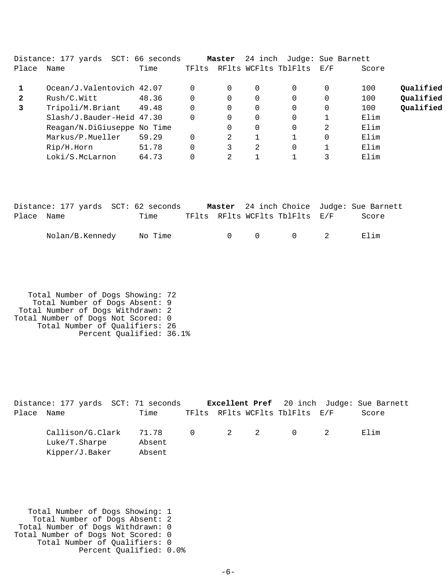|              | Distance: 177 yards SCT: 66 seconds |       |          | Master | 24 inch  |                      |          | Judge: Sue Barnett |           |
|--------------|-------------------------------------|-------|----------|--------|----------|----------------------|----------|--------------------|-----------|
| Place        | Name                                | Time  | TFlts    |        |          | RFlts WCFlts TblFlts | E/F      | Score              |           |
|              | Ocean/J.Valentovich 42.07           |       |          | 0      | 0        | 0                    | 0        | 100                | Qualified |
| $\mathbf{2}$ | Rush/C.Witt                         | 48.36 | $\Omega$ | 0      | $\Omega$ | $\Omega$             | $\Omega$ | 100                | Qualified |
| 3            | Tripoli/M.Briant                    | 49.48 |          | 0      | 0        | 0                    |          | 100                | Qualified |
|              | Slash/J.Bauder-Heid 47.30           |       |          |        | 0        | $\Omega$             |          | Elim               |           |
|              | Reagan/N.DiGiuseppe No Time         |       |          |        | $\Omega$ | $\Omega$             | 2        | Elim               |           |
|              | Markus/P.Mueller                    | 59.29 |          | 2      |          |                      |          | Elim               |           |
|              | Rip/H.Horn                          | 51.78 |          | 3      | 2        | $\Omega$             |          | Elim               |           |
|              | Loki/S.McLarnon                     | 64.73 |          | 2      |          |                      | 3        | Elim               |           |
|              |                                     |       |          |        |          |                      |          |                    |           |

|            | Distance: 177 yards SCT: 62 seconds |         |  |                                | Master 24 inch Choice Judge: Sue Barnett |
|------------|-------------------------------------|---------|--|--------------------------------|------------------------------------------|
| Place Name |                                     | Time    |  | TFlts RFlts WCFlts TblFlts E/F | Score                                    |
|            | Nolan/B.Kennedy                     | No Time |  | $0 \qquad 0 \qquad 0 \qquad 2$ | Elim                                     |

 Total Number of Dogs Showing: 72 Total Number of Dogs Absent: 9 Total Number of Dogs Withdrawn: 2 Total Number of Dogs Not Scored: 0 Total Number of Qualifiers: 26 Percent Qualified: 36.1%

|            | Distance: 177 yards SCT: 71 seconds                                          |                  |  |                                | <b>Excellent Pref</b> 20 inch Judge: Sue Barnett |
|------------|------------------------------------------------------------------------------|------------------|--|--------------------------------|--------------------------------------------------|
| Place Name |                                                                              | Time             |  | TFlts RFlts WCFlts TblFlts E/F | Score                                            |
|            | $\text{Callison/G.Clark}$ 71.78 0 2 2 0 2<br>Luke/T.Sharpe<br>Kipper/J.Baker | Absent<br>Absent |  |                                | Elim                                             |

 Total Number of Dogs Showing: 1 Total Number of Dogs Absent: 2 Total Number of Dogs Withdrawn: 0 Total Number of Dogs Not Scored: 0 Total Number of Qualifiers: 0 Percent Qualified: 0.0%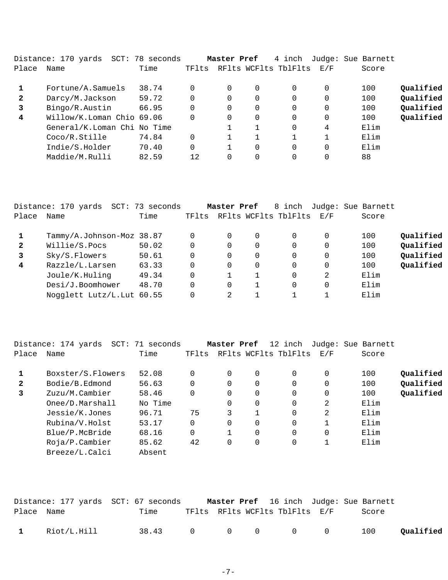|                | Distance: 170 yards<br>SCT: | 78 seconds |          | Master Pref |          | 4 inch               |             | Judge: Sue Barnett |           |
|----------------|-----------------------------|------------|----------|-------------|----------|----------------------|-------------|--------------------|-----------|
| Place          | Name                        | Time       | TFlts    |             |          | RFlts WCFlts TblFlts | E/F         | Score              |           |
|                | Fortune/A.Samuels           | 38.74      | 0        |             | 0        | 0                    | $\Omega$    | 100                | Qualified |
| $\mathbf{2}$   | Darcy/M.Jackson             | 59.72      | 0        |             | 0        | 0                    | 0           | 100                | Qualified |
| 3              | Bingo/R.Austin              | 66.95      | $\Omega$ |             | 0        | $\Omega$             | 0           | 100                | Qualified |
| $\overline{4}$ | Willow/K.Loman Chio 69.06   |            | 0        |             | 0        | $\Omega$             | $\mathbf 0$ | 100                | Qualified |
|                | General/K.Loman Chi No Time |            |          |             |          | $\Omega$             | 4           | Elim               |           |
|                | Coco/R.Stille               | 74.84      | 0        |             |          |                      |             | Elim               |           |
|                | Indie/S.Holder              | 70.40      | $\Omega$ |             | $\Omega$ | 0                    | $\Omega$    | Elim               |           |
|                | Maddie/M.Rulli              | 82.59      | 12       |             | 0        | $\Omega$             | $\Omega$    | 88                 |           |
|                |                             |            |          |             |          |                      |             |                    |           |

|              | Distance: 170 yards<br>SCT: | 73<br>seconds |          | Master Pref |   | 8 inch               |          | Judge: Sue Barnett |           |
|--------------|-----------------------------|---------------|----------|-------------|---|----------------------|----------|--------------------|-----------|
| Place        | Name                        | Time          | TFlts    |             |   | RFlts WCFlts TblFlts | E/F      | Score              |           |
|              | Tammy/A.Johnson-Moz 38.87   |               |          | 0           | 0 | 0                    | $\Omega$ | 100                | Qualified |
| $\mathbf{2}$ | Willie/S.Pocs               | 50.02         |          | 0           | 0 | $\Omega$             | $\Omega$ | 100                | Qualified |
| 3            | Sky/S.Flowers               | 50.61         |          | 0           | 0 | $\Omega$             | $\Omega$ | 100                | Qualified |
| 4            | Razzle/L.Larsen             | 63.33         |          | 0           | 0 | $\Omega$             | 0        | 100                | Qualified |
|              | Joule/K.Huling              | 49.34         | $\Omega$ |             |   | $\Omega$             | 2        | Elim               |           |
|              | Desi/J.Boomhower            | 48.70         |          | 0           |   | $\Omega$             | $\Omega$ | Elim               |           |
|              | Nogglett Lutz/L. Lut 60.55  |               |          | 2           |   |                      |          | Elim               |           |

|              | Distance: 174 yards | SCT: 71 seconds |       | Master Pref |          | 12 inch              |     | Judge: Sue Barnett |           |
|--------------|---------------------|-----------------|-------|-------------|----------|----------------------|-----|--------------------|-----------|
| Place        | Name                | Time            | TFlts |             |          | RFlts WCFlts TblFlts | E/F | Score              |           |
|              | Boxster/S.Flowers   | 52.08           |       | $\Omega$    | 0        | 0                    | 0   | 100                | Qualified |
| $\mathbf{2}$ | Bodie/B.Edmond      | 56.63           |       | $\Omega$    | $\Omega$ | 0                    | 0   | 100                | Qualified |
| 3            | Zuzu/M.Cambier      | 58.46           |       | $\Omega$    | $\Omega$ | 0                    | 0   | 100                | Qualified |
|              | Onee/D.Marshall     | No Time         |       | $\Omega$    | 0        | 0                    | 2   | Elim               |           |
|              | Jessie/K.Jones      | 96.71           | 75    | 3           |          | 0                    | 2   | Elim               |           |
|              | Rubina/V.Holst      | 53.17           | 0     | $\Omega$    | $\Omega$ | 0                    |     | Elim               |           |
|              | Blue/P.McBride      | 68.16           |       |             | $\Omega$ | 0                    | 0   | Elim               |           |
|              | $Ro$ ja/P.Cambier   | 85.62           | 42    | $\Omega$    | 0        | 0                    |     | Elim               |           |
|              | Breeze/L.Calci      | Absent          |       |             |          |                      |     |                    |           |

|              |             | Distance: 177 yards SCT: 67 seconds |  |                                | <b>Master Pref</b> 16 inch Judge: Sue Barnett |           |
|--------------|-------------|-------------------------------------|--|--------------------------------|-----------------------------------------------|-----------|
| Place Name   |             | Time                                |  | TFlts RFlts WCFlts TblFlts E/F | Score                                         |           |
| $\mathbf{1}$ | Riot/L.Hill | 38.43 0 0 0 0 0                     |  |                                | 100                                           | Qualified |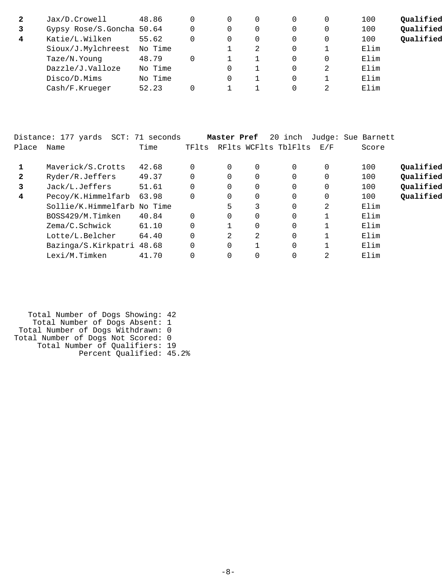|   | Jax/D.Crowell             | 48.86   |   | 0 |  | 100  | Qualified |
|---|---------------------------|---------|---|---|--|------|-----------|
| 3 | Gypsy Rose/S.Goncha 50.64 |         | 0 | 0 |  | 100  | Qualified |
| 4 | Katie/L.Wilken            | 55.62   | 0 | 0 |  | 100  | Qualified |
|   | Sioux/J.Mylchreest        | No Time |   | 2 |  | Elim |           |
|   | Taze/N.Young              | 48.79   |   |   |  | Elim |           |
|   | Dazzle/J.Valloze          | No Time |   |   |  | Elim |           |
|   | Disco/D.Mims              | No Time |   |   |  | Elim |           |
|   | Cash/F.Krueger            | 52.23   |   |   |  | Elim |           |

|              | Distance: 177 yards<br>SCT: | 71 seconds |          | Master Pref |          | 20 inch              |     | Judge: Sue Barnett |           |
|--------------|-----------------------------|------------|----------|-------------|----------|----------------------|-----|--------------------|-----------|
| Place        | Name                        | Time       | TFlts    |             |          | RFlts WCFlts TblFlts | E/F | Score              |           |
|              | Maverick/S.Crotts           | 42.68      | 0        |             | 0        | 0                    | 0   | 100                | Oualified |
| $\mathbf{2}$ | Ryder/R.Jeffers             | 49.37      | $\Omega$ |             | 0        | 0                    | 0   | 100                | Oualified |
| 3            | Jack/L.Jeffers              | 51.61      | $\Omega$ |             | 0        | 0                    | 0   | 100                | Qualified |
| 4            | Pecoy/K.Himmelfarb          | 63.98      | $\Omega$ |             | 0        | $\Omega$             | 0   | 100                | Qualified |
|              | Sollie/K.Himmelfarb No Time |            |          | 5           | 3        | $\Omega$             | 2   | Elim               |           |
|              | BOSS429/M.Timken            | 40.84      | $\Omega$ | $\Omega$    | $\Omega$ | $\Omega$             |     | Elim               |           |
|              | Zema/C.Schwick              | 61.10      | $\Omega$ |             | $\Omega$ | $\Omega$             |     | Elim               |           |
|              | Lotte/L.Belcher             | 64.40      | $\Omega$ | 2           | 2        | $\Omega$             |     | Elim               |           |
|              | Bazinga/S.Kirkpatri 48.68   |            | $\Omega$ | $\Omega$    |          | $\Omega$             |     | Elim               |           |
|              | Lexi/M.Timken               | 41.70      |          |             | 0        | 0                    | 2   | Elim               |           |

| Total Number of Dogs Showing: 42   |  |
|------------------------------------|--|
| Total Number of Dogs Absent: 1     |  |
| Total Number of Dogs Withdrawn: 0  |  |
| Total Number of Dogs Not Scored: 0 |  |
| Total Number of Qualifiers: 19     |  |
| Percent Qualified: 45.2%           |  |
|                                    |  |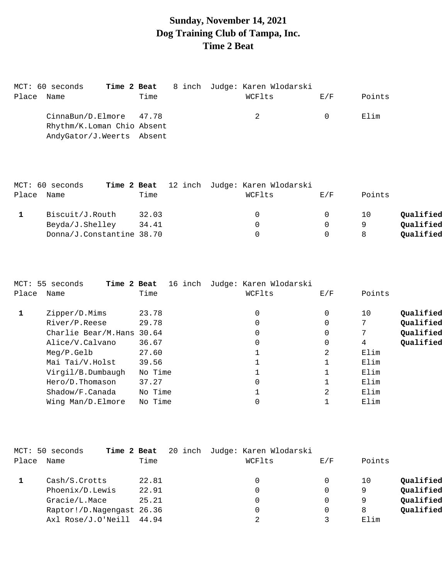## **Sunday, November 14, 2021 Dog Training Club of Tampa, Inc. Time 2 Beat**

| MCT: 60 seconds                                                                      | Time 2 Beat | 8 inch Judge: Karen Wlodarski |           |        |
|--------------------------------------------------------------------------------------|-------------|-------------------------------|-----------|--------|
| Place Name                                                                           | Time        | WCFlts                        | E/F       | Points |
| $CinnaBun/D.Elmore$ 47.78<br>Rhythm/K.Loman Chio Absent<br>AndyGator/J.Weerts Absent |             |                               | $\bigcap$ | Elim   |

|       | MCT: 60 seconds<br>Time 2 Beat |       | 12 inch Judge: Karen Wlodarski |     |        |           |
|-------|--------------------------------|-------|--------------------------------|-----|--------|-----------|
| Place | Name                           | Time  | WCFlts                         | E/F | Points |           |
|       | Biscuit/J.Routh                | 32.03 | $\Omega$                       |     | 10     | Qualified |
|       | Beyda/J.Shelley                | 34.41 | $\Omega$                       | 0   |        | Qualified |
|       | Donna/J.Constantine 38.70      |       | $\Omega$                       | 0   |        | Qualified |
|       |                                |       |                                |     |        |           |

|       | MCT: 55 seconds<br>Time 2 Beat | 16 inch | Judge: Karen Wlodarski |     |                 |
|-------|--------------------------------|---------|------------------------|-----|-----------------|
| Place | Name                           | Time    | WCFlts                 | E/F | Points          |
|       | Zipper/D.Mims                  | 23.78   | 0                      | 0   | Qualified<br>10 |
|       | River/P.Reese                  | 29.78   | 0                      | 0   | Qualified       |
|       | Charlie Bear/M.Hans 30.64      |         | 0                      | 0   | Qualified       |
|       | Alice/V.Calvano                | 36.67   | 0                      | 0   | Oualified<br>4  |
|       | $Meq/P$ . Gelb                 | 27.60   |                        | 2   | Elim            |
|       | Mai Tai/V.Holst                | 39.56   |                        |     | Elim            |
|       | Virgil/B.Dumbaugh              | No Time |                        |     | Elim            |
|       | Hero/D.Thomason                | 37.27   | 0                      |     | Elim            |
|       | Shadow/F.Canada                | No Time |                        | 2   | Elim            |
|       | Wing Man/D.Elmore              | No Time |                        |     | Elim            |

|       | MCT: 50 seconds<br>Time 2 Beat |       | 20 inch Judge: Karen Wlodarski |     |        |           |
|-------|--------------------------------|-------|--------------------------------|-----|--------|-----------|
| Place | Name                           | Time  | WCFlts                         | E/F | Points |           |
|       | Cash/S.Crotts                  | 22.81 | 0                              | 0   | 10     | Qualified |
|       | Phoenix/D.Lewis                | 22.91 | 0                              | 0   | 9      | Qualified |
|       | Gracie/L.Mace                  | 25.21 | 0                              |     | 9      | Qualified |
|       | Raptor!/D.Nagengast 26.36      |       | 0                              | 0   | 8      | Qualified |
|       | Axl Rose/J.O'Neill             | 44.94 | 2                              |     | Elim   |           |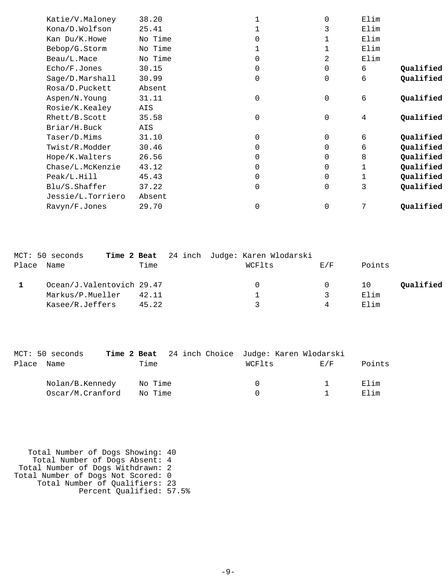| Katie/V.Maloney   | 38.20   |   | 0        | Elim |           |
|-------------------|---------|---|----------|------|-----------|
| Kona/D.Wolfson    | 25.41   |   | 3        | Elim |           |
| Kan Du/K.Howe     | No Time |   |          | Elim |           |
| Bebop/G.Storm     | No Time |   | 1        | Elim |           |
| Beau/L.Mace       | No Time | 0 | 2        | Elim |           |
| Echo/F.Jones      | 30.15   | 0 | 0        | 6    | Qualified |
| Sage/D.Marshall   | 30.99   | 0 | 0        | 6    | Qualified |
| Rosa/D.Puckett    | Absent  |   |          |      |           |
| Aspen/N.Young     | 31.11   | 0 | 0        | 6    | Qualified |
| Rosie/K.Kealey    | AIS     |   |          |      |           |
| Rhett/B.Scott     | 35.58   | 0 | 0        | 4    | Qualified |
| Briar/H.Buck      | AIS     |   |          |      |           |
| Taser/D.Mims      | 31.10   |   | 0        | 6    | Qualified |
| Twist/R.Modder    | 30.46   | 0 | 0        | 6    | Qualified |
| Hope/K.Walters    | 26.56   | 0 | 0        | 8    | Qualified |
| Chase/L.McKenzie  | 43.12   | 0 | $\Omega$ |      | Qualified |
| Peak/L.Hill       | 45.43   | 0 | 0        |      | Qualified |
| Blu/S.Shaffer     | 37.22   | 0 | 0        | 3    | Qualified |
| Jessie/L.Torriero | Absent  |   |          |      |           |
| Ravyn/F.Jones     | 29.70   | 0 | 0        | 7    | Oualified |
|                   |         |   |          |      |           |

|       | MCT: 50 seconds           |       | <b>Time 2 Beat</b> 24 inch Judge: Karen Wlodarski |          |        |           |
|-------|---------------------------|-------|---------------------------------------------------|----------|--------|-----------|
| Place | Name                      | Time  | WCFlts                                            | F/F      | Points |           |
|       | Ocean/J.Valentovich 29.47 |       | $^{\circ}$                                        | $\Omega$ | 10     | Qualified |
|       | Markus/P.Mueller          | 42.11 |                                                   |          | Elim   |           |
|       | Kasee/R.Jeffers           | 45.22 |                                                   |          | Elim   |           |

|            | MCT: 50 seconds  |         |  |          | <b>Time 2 Beat</b> 24 inch Choice Judge: Karen Wlodarski |        |
|------------|------------------|---------|--|----------|----------------------------------------------------------|--------|
| Place Name |                  | Time    |  | WCFlts   | E / F                                                    | Points |
|            | Nolan/B.Kennedy  | No Time |  | $\Omega$ |                                                          | Elim   |
|            | Oscar/M.Cranford | No Time |  |          |                                                          | Elim   |

 Total Number of Dogs Showing: 40 Total Number of Dogs Absent: 4 Total Number of Dogs Withdrawn: 2 Total Number of Dogs Not Scored: 0 Total Number of Qualifiers: 23 Percent Qualified: 57.5%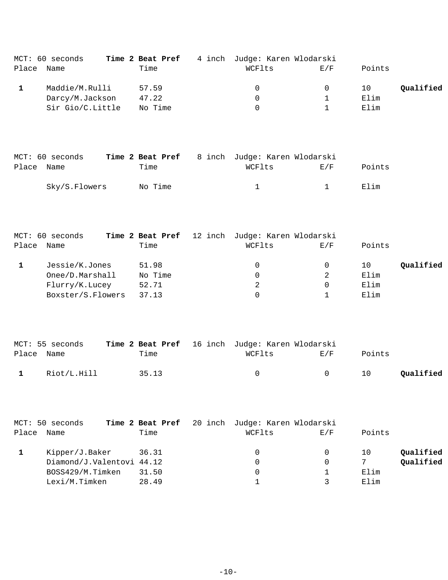| Place        | MCT: 60 seconds<br>Name                                                          | Time 2 Beat Pref<br>Time           | 4 inch  | Judge: Karen Wlodarski<br>WCFlts                          | E/F                           | Points                     |                        |
|--------------|----------------------------------------------------------------------------------|------------------------------------|---------|-----------------------------------------------------------|-------------------------------|----------------------------|------------------------|
| $\mathbf{1}$ | Maddie/M.Rulli<br>Darcy/M.Jackson<br>Sir Gio/C.Little                            | 57.59<br>47.22<br>No Time          |         | 0<br>0<br>0                                               | 0<br>1<br>1                   | 10<br>Elim<br>Elim         | Qualified              |
| Place        | MCT: 60 seconds<br>Name                                                          | Time 2 Beat Pref<br>Time           |         | 8 inch Judge: Karen Wlodarski<br>WCFlts                   | E/F                           | Points                     |                        |
|              | Sky/S.Flowers                                                                    | No Time                            |         | $\mathbf{1}$                                              | $\mathbf{1}$                  | Elim                       |                        |
| Place        | MCT: 60 seconds<br>Name                                                          | Time                               |         | Time 2 Beat Pref 12 inch Judge: Karen Wlodarski<br>WCFlts | E/F                           | Points                     |                        |
| $\mathbf{1}$ | Jessie/K.Jones<br>Onee/D.Marshall<br>Flurry/K.Lucey<br>Boxster/S.Flowers         | 51.98<br>No Time<br>52.71<br>37.13 |         | 0<br>0<br>2<br>0                                          | 0<br>2<br>0<br>1              | 10<br>Elim<br>Elim<br>Elim | Qualified              |
| Place Name   | MCT: 55 seconds                                                                  | Time                               |         | Time 2 Beat Pref 16 inch Judge: Karen Wlodarski<br>WCFlts | $\mathcal{E}\,/\,\mathcal{F}$ | Points                     |                        |
| 1            | Riot/L.Hill                                                                      | 35.13                              |         | 0                                                         | 0                             | 10                         | Qualified              |
| Place        | MCT: 50 seconds<br>Name                                                          | Time 2 Beat Pref<br>Time           | 20 inch | Judge: Karen Wlodarski<br>WCFlts                          | E/F                           | Points                     |                        |
| $\mathbf 1$  | Kipper/J.Baker<br>Diamond/J.Valentovi 44.12<br>BOSS429/M.Timken<br>Lexi/M.Timken | 36.31<br>31.50<br>28.49            |         | 0<br>0<br>0<br>1                                          | 0<br>0<br>1<br>3              | 10<br>7<br>Elim<br>Elim    | Qualified<br>Qualified |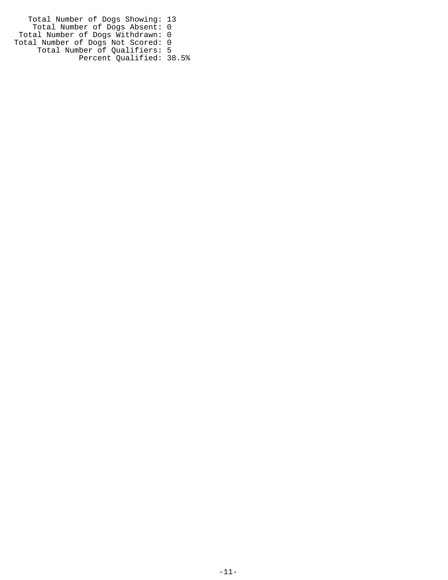Total Number of Dogs Showing: 13 Total Number of Dogs Absent: 0 Total Number of Dogs Withdrawn: 0 Total Number of Dogs Not Scored: 0 Total Number of Qualifiers: 5 Percent Qualified: 38.5%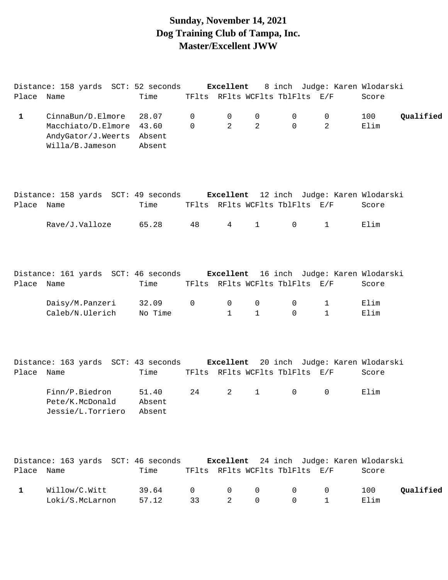## **Sunday, November 14, 2021 Dog Training Club of Tampa, Inc. Master/Excellent JWW**

|              | Distance: 158 yards SCT: 52 seconds Excellent                                    |                                    |             |                   |                   |                                |                              | 8 inch Judge: Karen Wlodarski |
|--------------|----------------------------------------------------------------------------------|------------------------------------|-------------|-------------------|-------------------|--------------------------------|------------------------------|-------------------------------|
| Place Name   |                                                                                  | Time                               |             |                   |                   | TFlts RFlts WCFlts TblFlts E/F |                              | Score                         |
| $\mathbf{1}$ | CinnaBun/D.Elmore<br>Macchiato/D.Elmore<br>AndyGator/J.Weerts<br>Willa/B.Jameson | 28.07<br>43.60<br>Absent<br>Absent | 0<br>0      | 0<br>2            | 0<br>2            | 0<br>$\Omega$                  | 0<br>2                       | 100<br>Qualified<br>Elim      |
| Place Name   | Distance: 158 yards SCT: 49 seconds Excellent 12 inch Judge: Karen Wlodarski     | Time                               |             |                   |                   | TFlts RFlts WCFlts TblFlts E/F |                              | Score                         |
|              | Rave/J.Valloze                                                                   | 65.28                              | 48          | $4\overline{ }$   | $\mathbf{1}$      | 0                              | $\mathbf{1}$                 | Elim                          |
| Place Name   | Distance: 161 yards SCT: 46 seconds Excellent 16 inch Judge: Karen Wlodarski     | Time                               |             |                   |                   | TFlts RFlts WCFlts TblFlts E/F |                              | Score                         |
|              | Daisy/M.Panzeri<br>Caleb/N.Ulerich                                               | 32.09<br>No Time                   | $\mathbf 0$ | 0<br>$\mathbf{1}$ | 0<br>$\mathbf{1}$ | 0<br>$\Omega$                  | $\mathbf{1}$<br>$\mathbf{1}$ | Elim<br>Elim                  |
| Place Name   | Distance: 163 yards SCT: 43 seconds Excellent 20 inch Judge: Karen Wlodarski     | Time                               |             |                   |                   | TFlts RFlts WCFlts TblFlts E/F |                              | Score                         |
|              | Finn/P.Biedron<br>Pete/K.McDonald<br>Jessie/L.Torriero                           | 51.40<br>Absent<br>Absent          | 24          | 2                 | $\mathbf{1}$      | 0                              | $\mathbf 0$                  | Elim                          |
| Place Name   | Distance: 163 yards SCT: 46 seconds Excellent 24 inch Judge: Karen Wlodarski     | Time                               |             |                   |                   | TFlts RFlts WCFlts TblFlts E/F |                              | Score                         |
| 1            | Willow/C.Witt<br>Loki/S.McLarnon                                                 | 39.64<br>57.12                     | 0<br>33     | 0<br>2            | 0<br>$\Omega$     | 0<br>$\mathbf 0$               | 0<br>1                       | Qualified<br>100<br>Elim      |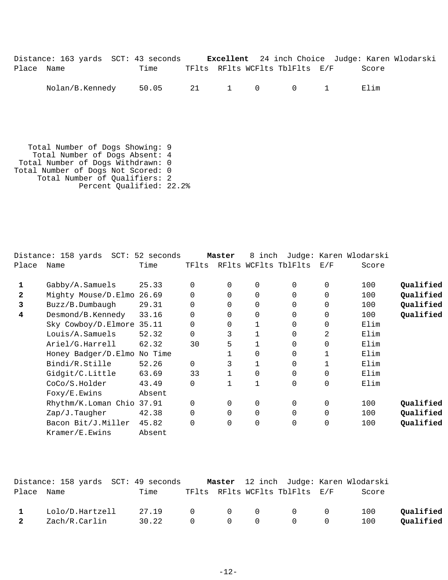| Distance: 163 yards SCT: 43 seconds |      |                                |  |  |       | <b>Excellent</b> 24 inch Choice Judge: Karen Wlodarski |
|-------------------------------------|------|--------------------------------|--|--|-------|--------------------------------------------------------|
| Place Name                          | Time | TFlts RFlts WCFlts TblFlts E/F |  |  | Score |                                                        |

Nolan/B.Kennedy 50.05 21 1 0 0 1 Elim

 Total Number of Dogs Showing: 9 Total Number of Dogs Absent: 4 Total Number of Dogs Withdrawn: 0 Total Number of Dogs Not Scored: 0 Total Number of Qualifiers: 2 Percent Qualified: 22.2%

|              | Distance: 158 yards<br>$SCT$ : | 52 seconds |          | Master       | inch<br>8            |             |             | Judge: Karen Wlodarski |           |
|--------------|--------------------------------|------------|----------|--------------|----------------------|-------------|-------------|------------------------|-----------|
| Place        | Name                           | Time       | TFlts    |              | RFlts WCFlts TblFlts |             | E/F         | Score                  |           |
| 1            | Gabby/A.Samuels                | 25.33      | $\Omega$ | $\Omega$     | $\mathbf 0$          | $\Omega$    | 0           | 100                    | Qualified |
| $\mathbf{2}$ | Mighty Mouse/D.Elmo            | 26.69      | $\Omega$ | $\Omega$     | $\mathbf 0$          | $\Omega$    | $\mathbf 0$ | 100                    | Qualified |
| 3            | Buzz/B.Dumbaugh                | 29.31      | $\Omega$ | $\Omega$     | $\mathbf 0$          | $\Omega$    | $\mathbf 0$ | 100                    | Qualified |
| 4            | Desmond/B.Kennedy              | 33.16      | $\Omega$ | $\Omega$     | $\mathbf 0$          | $\Omega$    | $\mathbf 0$ | 100                    | Qualified |
|              | Sky Cowboy/D.Elmore 35.11      |            | 0        | 0            |                      | $\Omega$    | $\mathbf 0$ | Elim                   |           |
|              | Louis/A.Samuels                | 52.32      | 0        | 3            |                      | $\Omega$    | 2           | Elim                   |           |
|              | Ariel/G.Harrell                | 62.32      | 30       | 5            |                      | $\Omega$    | $\mathbf 0$ | Elim                   |           |
|              | Honey Badger/D.Elmo            | No Time    |          |              | 0                    | 0           |             | Elim                   |           |
|              | Bindi/R.Stille                 | 52.26      | $\Omega$ | 3            |                      | 0           | 1           | Elim                   |           |
|              | Gidgit/C.Little                | 63.69      | 33       |              | $\mathbf 0$          | $\Omega$    | 0           | Elim                   |           |
|              | CoCo/S.Holder                  | 43.49      | $\Omega$ | $\mathbf{1}$ | $\mathbf{1}$         | $\Omega$    | $\mathbf 0$ | Elim                   |           |
|              | Foxy/E.Ewins                   | Absent     |          |              |                      |             |             |                        |           |
|              | Rhythm/K.Loman Chio 37.91      |            | $\Omega$ | 0            | $\mathbf 0$          | 0           | $\mathbf 0$ | 100                    | Qualified |
|              | Zap/J.Taugher                  | 42.38      | $\Omega$ | 0            | $\mathbf 0$          | 0           | $\mathbf 0$ | 100                    | Qualified |
|              | Bacon Bit/J.Miller             | 45.82      | 0        | 0            | 0                    | $\mathbf 0$ | 0           | 100                    | Qualified |
|              | Kramer/E.Ewins                 | Absent     |          |              |                      |             |             |                        |           |

|              | Distance: 158 yards SCT: 49 seconds |             |  |                                                    | Master 12 inch Judge: Karen Wlodarski |           |
|--------------|-------------------------------------|-------------|--|----------------------------------------------------|---------------------------------------|-----------|
| Place Name   |                                     | Time        |  | TFlts RFlts WCFlts TblFlts E/F                     | Score                                 |           |
| $\mathbf{1}$ | Lolo/D.Hartzell                     | 27.19       |  | $\begin{matrix}0&0&0&0&0\end{matrix}$              | 100                                   | Qualified |
| 2            | Zach/R.Carlin                       | 30.22 0 0 0 |  | $\begin{array}{ccc} & & 0 & \quad & 0 \end{array}$ | 100                                   | Oualified |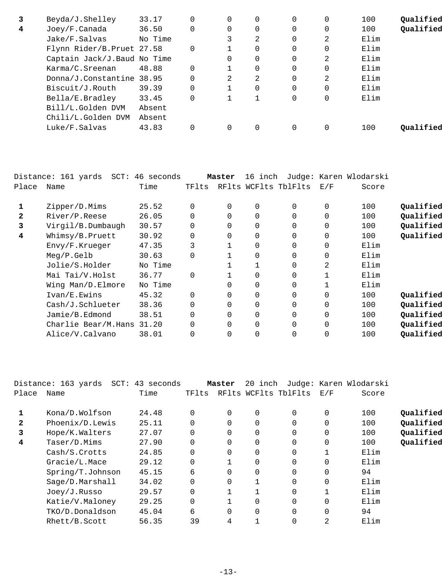| 3 | Beyda/J.Shelley              | 33.17   |          | 0 | 0        | $\Omega$ | 0 | 100  | Qualified |
|---|------------------------------|---------|----------|---|----------|----------|---|------|-----------|
| 4 | Joey/F.Canada                | 36.50   | 0        | 0 | 0        | 0        | 0 | 100  | Qualified |
|   | Jake/F.Salvas                | No Time |          | 3 | 2        | 0        | 2 | Elim |           |
|   | Flynn Rider/B.Pruet 27.58    |         | 0        |   | $\Omega$ | $\Omega$ | 0 | Elim |           |
|   | Captain Jack/J. Baud No Time |         |          | 0 | $\Omega$ | $\Omega$ | 2 | Elim |           |
|   | Karma/C.Sreenan              | 48.88   | $\Omega$ |   | $\Omega$ | $\Omega$ |   | Elim |           |
|   | Donna/J.Constantine 38.95    |         | $\Omega$ | 2 | 2        | $\Omega$ | 2 | Elim |           |
|   | Biscuit/J.Routh              | 39.39   | $\Omega$ |   | $\Omega$ | $\Omega$ |   | Elim |           |
|   | Bella/E.Bradley              | 33.45   | $\Omega$ |   |          | $\Omega$ |   | Elim |           |
|   | Bill/L.Golden DVM            | Absent  |          |   |          |          |   |      |           |
|   | Chili/L.Golden DVM           | Absent  |          |   |          |          |   |      |           |
|   | Luke/F.Salvas                | 43.83   |          |   | $\Omega$ | $\Omega$ |   | 100  | Oualified |
|   |                              |         |          |   |          |          |   |      |           |

|       | Distance: 161 yards<br>$SCT$ : | 46 seconds |          | Master   | 16 inch  |                      |          | Judge: Karen Wlodarski |           |
|-------|--------------------------------|------------|----------|----------|----------|----------------------|----------|------------------------|-----------|
| Place | Name                           | Time       | TFlts    |          |          | RFlts WCFlts TblFlts | E/F      | Score                  |           |
| 1     | Zipper/D.Mims                  | 25.52      | $\Omega$ | $\Omega$ | $\Omega$ | $\Omega$             | $\Omega$ | 100                    | Qualified |
| 2     | River/P.Reese                  | 26.05      | $\Omega$ |          | $\Omega$ | $\Omega$             | $\Omega$ | 100                    | Qualified |
| 3     | Virgil/B.Dumbaugh              | 30.57      | $\Omega$ | $\Omega$ | $\Omega$ | $\Omega$             | $\Omega$ | 100                    | Qualified |
| 4     | Whimsy/B.Pruett                | 30.92      | $\Omega$ | $\Omega$ | $\Omega$ | $\Omega$             | $\Omega$ | 100                    | Qualified |
|       | Envy/F.Krueger                 | 47.35      | 3        |          | $\Omega$ | $\Omega$             | $\Omega$ | Elim                   |           |
|       | Meq/P.Gelb                     | 30.63      | $\Omega$ |          | $\Omega$ | $\Omega$             | $\Omega$ | Elim                   |           |
|       | Jolie/S.Holder                 | No Time    |          |          |          | $\Omega$             | 2        | Elim                   |           |
|       | Mai Tai/V.Holst                | 36.77      | $\Omega$ |          | 0        | $\Omega$             |          | Elim                   |           |
|       | Wing Man/D.Elmore              | No Time    |          |          | $\Omega$ | $\Omega$             |          | Elim                   |           |
|       | Ivan/E.Ewins                   | 45.32      | $\Omega$ | $\Omega$ | $\Omega$ | $\Omega$             | $\Omega$ | 100                    | Qualified |
|       | Cash/J.Schlueter               | 38.36      | $\Omega$ | $\Omega$ | $\Omega$ | $\Omega$             | $\Omega$ | 100                    | Qualified |
|       | Jamie/B.Edmond                 | 38.51      | 0        | 0        | 0        | $\Omega$             | $\Omega$ | 100                    | Qualified |
|       | Charlie Bear/M.Hans            | 31.20      | $\Omega$ | 0        | $\Omega$ | $\Omega$             | 0        | 100                    | Qualified |
|       | Alice/V.Calvano                | 38.01      | 0        | 0        | $\Omega$ | $\Omega$             |          | 100                    | Oualified |
|       |                                |            |          |          |          |                      |          |                        |           |

|       | Distance: 163 yards SCT: 43 seconds |       |          | Master   | 20 inch              |          |             | Judge: Karen Wlodarski |           |
|-------|-------------------------------------|-------|----------|----------|----------------------|----------|-------------|------------------------|-----------|
| Place | Name                                | Time  | TFlts    |          | RFlts WCFlts TblFlts |          | E/F         | Score                  |           |
|       | Kona/D.Wolfson                      | 24.48 | $\Omega$ | 0        | 0                    | 0        | 0           | 100                    | Oualified |
| 2     | Phoenix/D.Lewis                     | 25.11 | $\Omega$ |          | 0                    | $\Omega$ | $\Omega$    | 100                    | Qualified |
| 3     | Hope/K.Walters                      | 27.07 | $\Omega$ | 0        | 0                    | $\Omega$ | 0           | 100                    | Qualified |
| 4     | Taser/D.Mims                        | 27.90 | $\Omega$ |          | 0                    | $\Omega$ | $\Omega$    | 100                    | Qualified |
|       | Cash/S.Crotts                       | 24.85 | $\Omega$ | $\Omega$ | $\Omega$             | $\Omega$ |             | Elim                   |           |
|       | Gracie/L.Mace                       | 29.12 | $\Omega$ |          | $\Omega$             | $\Omega$ | $\Omega$    | Elim                   |           |
|       | Spring/T.Johnson                    | 45.15 | 6        | $\Omega$ | $\Omega$             | $\Omega$ | $\Omega$    | 94                     |           |
|       | Sage/D.Marshall                     | 34.02 | $\Omega$ |          |                      | $\Omega$ | $\mathbf 0$ | Elim                   |           |
|       | Joey/J.Russo                        | 29.57 | $\Omega$ |          |                      | $\Omega$ |             | Elim                   |           |
|       | Katie/V.Maloney                     | 29.25 | 0        |          | 0                    | $\Omega$ | $\Omega$    | Elim                   |           |
|       | TKO/D.Donaldson                     | 45.04 | 6        | $\Omega$ | $\Omega$             | $\Omega$ | $\Omega$    | 94                     |           |
|       | Rhett/B.Scott                       | 56.35 | 39       | 4        |                      | 0        | 2           | Elim                   |           |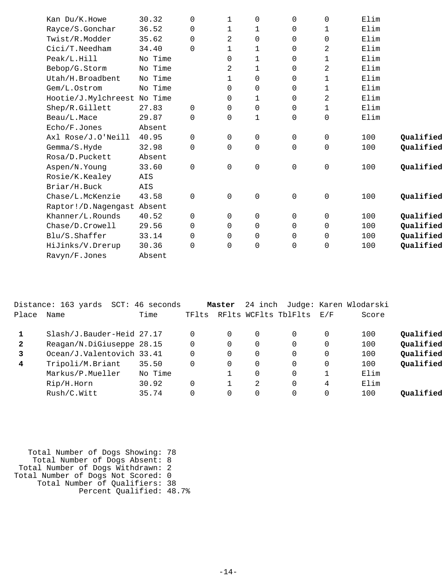| Kan Du/K.Howe               | 30.32   | $\Omega$ | $\mathbf{1}$   | 0 | $\Omega$ | $\mathbf 0$ | Elim |           |
|-----------------------------|---------|----------|----------------|---|----------|-------------|------|-----------|
| Rayce/S.Gonchar             | 36.52   | 0        | $\mathbf 1$    | 1 | 0        | 1           | Elim |           |
| Twist/R.Modder              | 35.62   | 0        | 2              | 0 | 0        | 0           | Elim |           |
| Cici/T.Needham              | 34.40   | $\Omega$ | $\mathbf 1$    | 1 | 0        | 2           | Elim |           |
| Peak/L.Hill                 | No Time |          | $\Omega$       | 1 | 0        | 1           | Elim |           |
| Bebop/G.Storm               | No Time |          | 2              | 1 | 0        | 2           | Elim |           |
| Utah/H.Broadbent            | No Time |          | $\mathbf{1}$   | 0 | 0        | 1           | Elim |           |
| Gem/L.Ostrom                | No Time |          | 0              | 0 | 0        | 1           | Elim |           |
| Hootie/J.Mylchreest No Time |         |          | 0              | 1 | 0        | 2           | Elim |           |
| Shep/R.Gillett              | 27.83   | 0        | 0              | 0 | 0        | $\mathbf 1$ | Elim |           |
| Beau/L.Mace                 | 29.87   | 0        | $\overline{0}$ | 1 | 0        | $\mathbf 0$ | Elim |           |
| Echo/F.Jones                | Absent  |          |                |   |          |             |      |           |
| Axl Rose/J.O'Neill          | 40.95   | $\Omega$ | 0              | 0 | 0        | 0           | 100  | Qualified |
| Gemma/S.Hyde                | 32.98   | $\Omega$ | $\Omega$       | 0 | 0        | $\mathbf 0$ | 100  | Qualified |
| Rosa/D.Puckett              | Absent  |          |                |   |          |             |      |           |
| Aspen/N.Young               | 33.60   | $\Omega$ | $\mathbf 0$    | 0 | 0        | $\mathbf 0$ | 100  | Qualified |
| Rosie/K.Kealey              | AIS     |          |                |   |          |             |      |           |
| Briar/H.Buck                | AIS     |          |                |   |          |             |      |           |
| Chase/L.McKenzie            | 43.58   | 0        | $\mathbf 0$    | 0 | 0        | 0           | 100  | Qualified |
| Raptor!/D.Nagengast Absent  |         |          |                |   |          |             |      |           |
| Khanner/L.Rounds            | 40.52   | 0        | 0              | 0 | 0        | 0           | 100  | Qualified |
| Chase/D.Crowell             | 29.56   | $\Omega$ | $\mathbf 0$    | 0 | 0        | $\mathbf 0$ | 100  | Qualified |
| Blu/S.Shaffer               | 33.14   | 0        | 0              | 0 | 0        | 0           | 100  | Qualified |
| HiJinks/V.Drerup            | 30.36   | 0        | $\Omega$       | 0 | 0        | $\mathbf 0$ | 100  | Qualified |
| Ravyn/F.Jones               | Absent  |          |                |   |          |             |      |           |

|                | Distance: 163 yards<br>SCT: | 46 seconds |          | Master | 24 inch     |                      |     | Judge: Karen Wlodarski |           |
|----------------|-----------------------------|------------|----------|--------|-------------|----------------------|-----|------------------------|-----------|
| Place          | Name                        | Time       | TFlts    |        |             | RFlts WCFlts TblFlts | E/F | Score                  |           |
|                | Slash/J.Bauder-Heid 27.17   |            | 0        | 0      | $\Omega$    |                      | 0   | 100                    | Qualified |
| $\mathbf{2}$   | Reagan/N.DiGiuseppe 28.15   |            | $\Omega$ | 0      | $\mathbf 0$ | $\Omega$             | 0   | 100                    | Qualified |
| 3              | Ocean/J.Valentovich 33.41   |            | $\Omega$ | 0      | $\Omega$    | $\Omega$             | 0   | 100                    | Qualified |
| $\overline{4}$ | Tripoli/M.Briant            | 35.50      | $\Omega$ | 0      | $\Omega$    |                      | 0   | 100                    | Qualified |
|                | Markus/P.Mueller            | No Time    |          |        | $\Omega$    | $\Omega$             |     | Elim                   |           |
|                | Rip/H.Horn                  | 30.92      | 0        |        | 2           |                      | 4   | Elim                   |           |
|                | Rush/C.Witt                 | 35.74      | $\Omega$ | 0      | $\Omega$    | $\Omega$             | 0   | 100                    | Oualified |

| Total Number of Dogs Showing: 78   |  |
|------------------------------------|--|
| Total Number of Dogs Absent: 8     |  |
| Total Number of Dogs Withdrawn: 2  |  |
| Total Number of Dogs Not Scored: 0 |  |
| Total Number of Qualifiers: 38     |  |
| Percent Qualified: 48.7%           |  |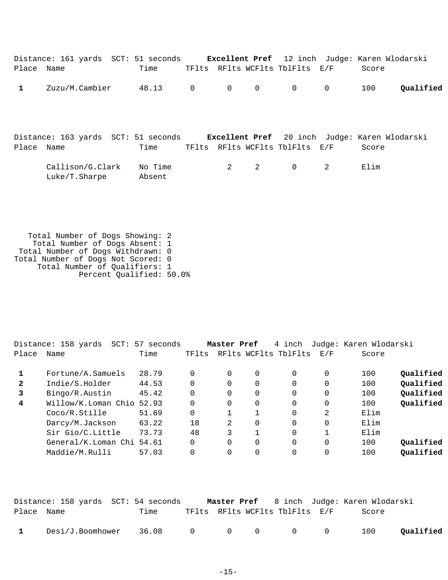| Place Name | Distance: 161 yards SCT: 51 seconds Excellent Pref 12 inch Judge: Karen Wlodarski | Time              |                |                |             | TFlts RFlts WCFlts TblFlts E/F |             | Score |                                               |
|------------|-----------------------------------------------------------------------------------|-------------------|----------------|----------------|-------------|--------------------------------|-------------|-------|-----------------------------------------------|
| 1          | Zuzu/M.Cambier                                                                    | 48.13             | $\overline{0}$ | $\overline{0}$ | $\mathbf 0$ | $\overline{0}$                 | $\mathbf 0$ | 100   | Oualified                                     |
|            | Distance: 163 yards SCT: 51 seconds                                               |                   |                |                |             |                                |             |       | Excellent Pref 20 inch Judge: Karen Wlodarski |
| Place Name |                                                                                   | Time              |                |                |             | TFlts RFlts WCFlts TblFlts E/F |             | Score |                                               |
|            | Callison/G.Clark<br>Luke/T.Sharpe                                                 | No Time<br>Absent |                | 2              | 2           | $\mathbf 0$                    | 2           | Elim  |                                               |

 Total Number of Dogs Showing: 2 Total Number of Dogs Absent: 1 Total Number of Dogs Withdrawn: 0 Total Number of Dogs Not Scored: 0 Total Number of Qualifiers: 1 Percent Qualified: 50.0%

|              | Distance: 158 yards<br>$SCT$ : | 57<br>seconds |       | Master Pref |          | 4 inch               |          | Judge: Karen Wlodarski |           |
|--------------|--------------------------------|---------------|-------|-------------|----------|----------------------|----------|------------------------|-----------|
| Place        | Name                           | Time          | TFlts |             |          | RFlts WCFlts TblFlts | E/F      | Score                  |           |
|              | Fortune/A.Samuels              | 28.79         |       | $\Omega$    | $\Omega$ | $\Omega$             | $\Omega$ | 100                    | Qualified |
| $\mathbf{2}$ | Indie/S.Holder                 | 44.53         |       | $\Omega$    | $\Omega$ | $\Omega$             | $\Omega$ | 100                    | Qualified |
| 3            | Bingo/R.Austin                 | 45.42         |       | 0           | 0        | $\Omega$             | 0        | 100                    | Qualified |
| 4            | Willow/K.Loman Chio            | 52.93         |       | 0           | 0        | $\Omega$             | 0        | 100                    | Qualified |
|              | Coco/R.Stille                  | 51.69         |       |             |          | $\Omega$             | 2        | Elim                   |           |
|              | Darcy/M.Jackson                | 63.22         | 18    | 2           | $\Omega$ | $\Omega$             | $\Omega$ | Elim                   |           |
|              | Sir Gio/C.Little               | 73.73         | 48    | 3           |          | $\Omega$             |          | Elim                   |           |
|              | General/K.Loman Chi            | 54.61         |       | 0           | $\Omega$ | $\Omega$             | $\Omega$ | 100                    | Qualified |
|              | Maddie/M.Rulli                 | 57.03         |       | 0           | 0        | $\Omega$             | 0        | 100                    | Qualified |
|              |                                |               |       |             |          |                      |          |                        |           |

|              | Distance: 158 yards SCT: 54 seconds |  |                                | <b>Master Pref</b> 8 inch Judge: Karen Wlodarski |           |
|--------------|-------------------------------------|--|--------------------------------|--------------------------------------------------|-----------|
| Place Name   | Time                                |  | TFlts RFlts WCFlts TblFlts E/F | Score                                            |           |
| $\mathbf{1}$ |                                     |  |                                | 100                                              | Oualified |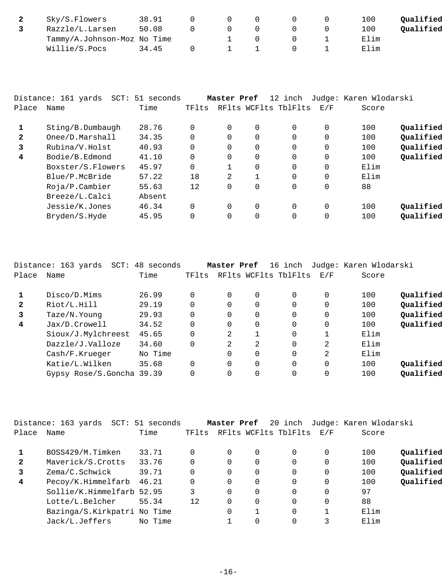| Sky/S.Flowers               | 38.91 |  |  | 100  | Qualified |
|-----------------------------|-------|--|--|------|-----------|
| Razzle/L.Larsen             | 50.08 |  |  | 100  | Qualified |
| Tammy/A.Johnson-Moz No Time |       |  |  | Elim |           |
| Willie/S.Pocs               | 34.45 |  |  | Elim |           |

|       | $SCT$ :<br>Distance: 161 yards | 51 seconds |          | Master Pref    |                | 12 inch              |             | Judge: Karen Wlodarski |           |
|-------|--------------------------------|------------|----------|----------------|----------------|----------------------|-------------|------------------------|-----------|
| Place | Name                           | Time       | TFlts    |                |                | RFlts WCFlts TblFlts | E/F         | Score                  |           |
|       | Sting/B.Dumbaudh               | 28.76      | $\Omega$ | $\Omega$       | $\mathbf 0$    | $\Omega$             | $\Omega$    | 100                    | Oualified |
| 2     | Onee/D.Marshall                | 34.35      | $\Omega$ | $\Omega$       | $\Omega$       | $\Omega$             | $\Omega$    | 100                    | Qualified |
| 3     | Rubina/V.Holst                 | 40.93      | $\Omega$ | $\Omega$       | $\Omega$       | $\Omega$             | $\Omega$    | 100                    | Qualified |
| 4     | Bodie/B.Edmond                 | 41.10      | 0        | $\Omega$       | $\Omega$       | $\Omega$             | $\Omega$    | 100                    | Qualified |
|       | Boxster/S.Flowers              | 45.97      | $\Omega$ |                | $\overline{0}$ | $\Omega$             | $\mathbf 0$ | Elim                   |           |
|       | Blue/P.McBride                 | 57.22      | 18       | $\overline{2}$ |                | 0                    | 0           | Elim                   |           |
|       | $Ro$ ja/P.Cambier              | 55.63      | 12       | $\Omega$       | 0              | 0                    | 0           | 88                     |           |
|       | Breeze/L.Calci                 | Absent     |          |                |                |                      |             |                        |           |
|       | Jessie/K.Jones                 | 46.34      | $\Omega$ | $\Omega$       | $\Omega$       | $\Omega$             | $\Omega$    | 100                    | Oualified |
|       | Bryden/S.Hyde                  | 45.95      | $\Omega$ | 0              | $\Omega$       | $\Omega$             | $\Omega$    | 100                    | Qualified |

|              | Distance: 163 yards       | SCT: 48 seconds |          | Master Pref |                | 16 inch              |          | Judge: Karen Wlodarski |           |
|--------------|---------------------------|-----------------|----------|-------------|----------------|----------------------|----------|------------------------|-----------|
| Place        | Name                      | Time            | TFlts    |             |                | RFlts WCFlts TblFlts | E/F      | Score                  |           |
|              | Disco/D.Mims              | 26.99           | 0        | 0           |                | $\Omega$             |          | 100                    | Qualified |
| $\mathbf{2}$ | Riot/L.Hill               | 29.19           | $\Omega$ | $\Omega$    |                |                      |          | 100                    | Qualified |
| 3            | Taze/N.Young              | 29.93           | 0        | 0           |                |                      |          | 100                    | Qualified |
| 4            | Jax/D.Crowell             | 34.52           | 0        | 0           |                | $\Omega$             | $\Omega$ | 100                    | Qualified |
|              | Sioux/J.Mylchreest        | 45.65           | $\Omega$ | 2           |                |                      |          | Elim                   |           |
|              | Dazzle/J.Valloze          | 34.60           | $\Omega$ | 2           | $\mathfrak{D}$ |                      | 2        | Elim                   |           |
|              | Cash/F.Krueger            | No Time         |          | 0           | $\Omega$       |                      | 2        | Elim                   |           |
|              | Katie/L.Wilken            | 35.68           | 0        | $\Omega$    | $\Omega$       | $\Omega$             |          | 100                    | Oualified |
|              | Gypsy Rose/S.Goncha 39.39 |                 | 0        | 0           |                | 0                    |          | 100                    | Qualified |
|              |                           |                 |          |             |                |                      |          |                        |           |

|              | Distance: 163 yards SCT: 51 seconds |         |          | Master Pref |          | 20 inch              |          | Judge: Karen Wlodarski |           |
|--------------|-------------------------------------|---------|----------|-------------|----------|----------------------|----------|------------------------|-----------|
| Place        | Name                                | Time    | TFlts    |             |          | RFlts WCFlts TblFlts | E/F      | Score                  |           |
| $\mathbf{1}$ | BOSS429/M.Timken                    | 33.71   | 0        | $\Omega$    | 0        | $\Omega$             | $\Omega$ | 100                    | Qualified |
| $\mathbf{2}$ | Maverick/S.Crotts                   | 33.76   | $\Omega$ | $\Omega$    | $\Omega$ | $\Omega$             | $\Omega$ | 100                    | Qualified |
| 3            | Zema/C.Schwick                      | 39.71   | 0        | $\Omega$    | 0        | $\Omega$             | $\Omega$ | 100                    | Qualified |
| 4            | Pecoy/K.Himmelfarb                  | 46.21   | $\Omega$ | 0           | 0        | $\Omega$             | $\Omega$ | 100                    | Qualified |
|              | Sollie/K.Himmelfarb 52.95           |         | 3        | $\Omega$    | 0        | $\Omega$             | $\Omega$ | 97                     |           |
|              | Lotte/L.Belcher                     | 55.34   | 12       | $\Omega$    | $\Omega$ | $\Omega$             | $\Omega$ | 88                     |           |
|              | Bazinga/S.Kirkpatri No Time         |         |          | 0           |          | $\Omega$             |          | Elim                   |           |
|              | Jack/L.Jeffers                      | No Time |          |             |          | $\Omega$             |          | Elim                   |           |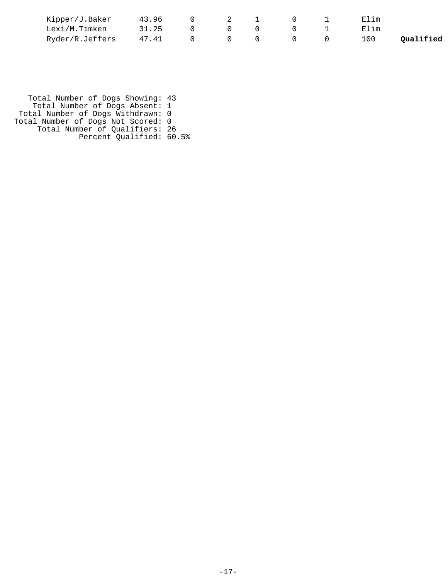| Kipper/J.Baker  | 43.96 |  |  | <b>__</b> | Elim |           |
|-----------------|-------|--|--|-----------|------|-----------|
| Lexi/M.Timken   | 31.25 |  |  |           | Elim |           |
| Ryder/R.Jeffers | 47.41 |  |  |           | 100  | Qualified |

 Total Number of Dogs Showing: 43 Total Number of Dogs Absent: 1 Total Number of Dogs Withdrawn: 0 Total Number of Dogs Not Scored: 0 Total Number of Qualifiers: 26 Percent Qualified: 60.5%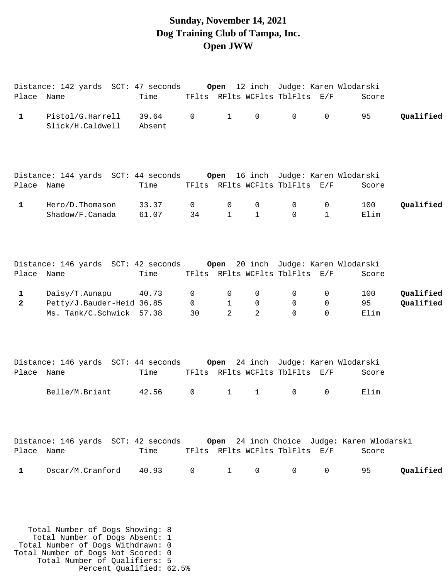#### **Sunday, November 14, 2021 Dog Training Club of Tampa, Inc. Open JWW**

|                             | Distance: 142 yards SCT: 47 seconds Open 12 inch Judge: Karen Wlodarski        |                 |                                      |                        |                                                |                                         |                  |                                              |                        |
|-----------------------------|--------------------------------------------------------------------------------|-----------------|--------------------------------------|------------------------|------------------------------------------------|-----------------------------------------|------------------|----------------------------------------------|------------------------|
| Place Name                  |                                                                                | Time            |                                      |                        |                                                | TFlts RFlts WCFlts TblFlts E/F          |                  | Score                                        |                        |
| $\mathbf{1}$                | Pistol/G.Harrell<br>Slick/H.Caldwell                                           | 39.64<br>Absent | $\mathbf 0$                          | $\mathbf{1}$           | $\mathsf{O}\xspace$                            | $\mathsf{O}$                            | 0                | 95                                           | Qualified              |
|                             | Distance: 144 yards SCT: 44 seconds Open 16 inch Judge: Karen Wlodarski        |                 |                                      |                        |                                                |                                         |                  |                                              |                        |
| Place Name                  |                                                                                | Time            |                                      |                        |                                                | TFlts RFlts WCFlts TblFlts E/F          |                  | Score                                        |                        |
| $\mathbf{1}$                | Hero/D.Thomason<br>Shadow/F.Canada                                             | 33.37<br>61.07  | $\mathsf{O}$<br>34                   | 0<br>$\mathbf{1}$      | $\mathsf{O}$<br>$\mathbf{1}$                   | $\mathsf{O}$<br>$\mathbf 0$             | 0<br>$\mathbf 1$ | 100<br>Elim                                  | Qualified              |
| Place Name                  | Distance: 146 yards SCT: 42 seconds                                            | Time            |                                      |                        |                                                | TFlts RFlts WCFlts TblFlts E/F          |                  | Open 20 inch Judge: Karen Wlodarski<br>Score |                        |
| $\mathbf 1$<br>$\mathbf{2}$ | Daisy/T.Aunapu<br>Petty/J.Bauder-Heid 36.85<br>Ms. Tank/C.Schwick 57.38        | 40.73           | $\mathsf{O}$<br>$\overline{0}$<br>30 | 0<br>$\mathbf{1}$<br>2 | $\mathsf{O}$<br>$\mathsf{O}$<br>$\overline{2}$ | $\mathsf{O}$<br>$\mathbf 0$<br>$\Omega$ | 0<br>0<br>0      | 100<br>95<br>Elim                            | Qualified<br>Qualified |
| Place Name                  | Distance: 146 yards SCT: 44 seconds                                            | Time            |                                      |                        |                                                | TFlts RFlts WCFlts TblFlts E/F          |                  | Open 24 inch Judge: Karen Wlodarski<br>Score |                        |
|                             | Belle/M.Briant                                                                 | 42.56           | $\mathsf{O}$                         | $\mathbf{1}$           | $\mathbf{1}$                                   | $\mathsf{O}$                            | $\mathsf{O}$     | Elim                                         |                        |
| Place Name                  | Distance: 146 yards SCT: 42 seconds Open 24 inch Choice Judge: Karen Wlodarski | Time            |                                      |                        |                                                | TFlts RFlts WCFlts TblFlts E/F          |                  | Score                                        |                        |
| 1                           | Oscar/M.Cranford                                                               | 40.93 0 1       |                                      |                        |                                                | $0\qquad 0$                             |                  | $\overline{0}$<br>95                         | Qualified              |
|                             |                                                                                |                 |                                      |                        |                                                |                                         |                  |                                              |                        |

 Total Number of Dogs Showing: 8 Total Number of Dogs Absent: 1 Total Number of Dogs Withdrawn: 0 Total Number of Dogs Not Scored: 0 Total Number of Qualifiers: 5 Percent Qualified: 62.5%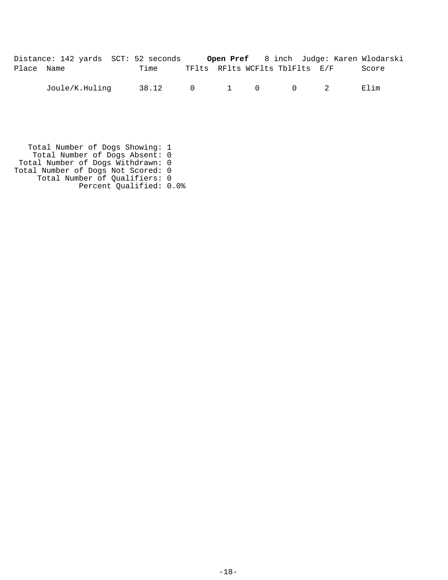|            | Distance: 142 yards SCT: 52 seconds |                                |  |  | Open Pref 8 inch Judge: Karen Wlodarski |
|------------|-------------------------------------|--------------------------------|--|--|-----------------------------------------|
| Place Name | Time                                | TFlts RFlts WCFlts TblFlts E/F |  |  | Score                                   |

Joule/K.Huling 38.12 0 1 0 0 2 Elim

 Total Number of Dogs Showing: 1 Total Number of Dogs Absent: 0 Total Number of Dogs Withdrawn: 0 Total Number of Dogs Not Scored: 0 Total Number of Qualifiers: 0 Percent Qualified: 0.0%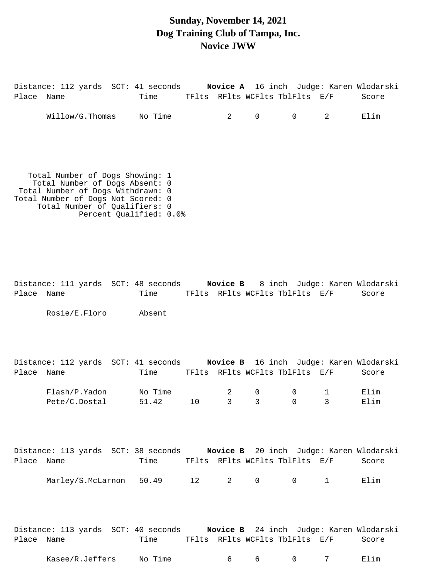#### **Sunday, November 14, 2021 Dog Training Club of Tampa, Inc. Novice JWW**

Distance: 112 yards SCT: 41 seconds **Novice A** 16 inch Judge: Karen Wlodarski Place Name Time TFlts RFlts WCFlts TblFlts E/F Score Willow/G.Thomas No Time 2 0 0 2 Elim Total Number of Dogs Showing: 1 Total Number of Dogs Absent: 0 Total Number of Dogs Withdrawn: 0 Total Number of Dogs Not Scored: 0 Total Number of Qualifiers: 0 Percent Qualified: 0.0% Distance: 111 yards SCT: 48 seconds **Novice B** 8 inch Judge: Karen Wlodarski Place Name Time TFlts RFlts WCFlts TblFlts E/F Score Rosie/E.Floro Absent Distance: 112 yards SCT: 41 seconds **Novice B** 16 inch Judge: Karen Wlodarski Place Name Time TFlts RFlts WCFlts TblFlts E/F Score Flash/P.Yadon No Time 2 0 0 1 Elim Pete/C.Dostal 51.42 10 3 3 0 3 Elim Distance: 113 yards SCT: 38 seconds **Novice B** 20 inch Judge: Karen Wlodarski Place Name Time TFlts RFlts WCFlts TblFlts E/F Score Marley/S.McLarnon 50.49 12 2 0 0 1 Elim Distance: 113 yards SCT: 40 seconds **Novice B** 24 inch Judge: Karen Wlodarski Place Name Time TFlts RFlts WCFlts TblFlts E/F Score

```
Kasee/R.Jeffers No Time 6 6 6 0 7 Elim
```